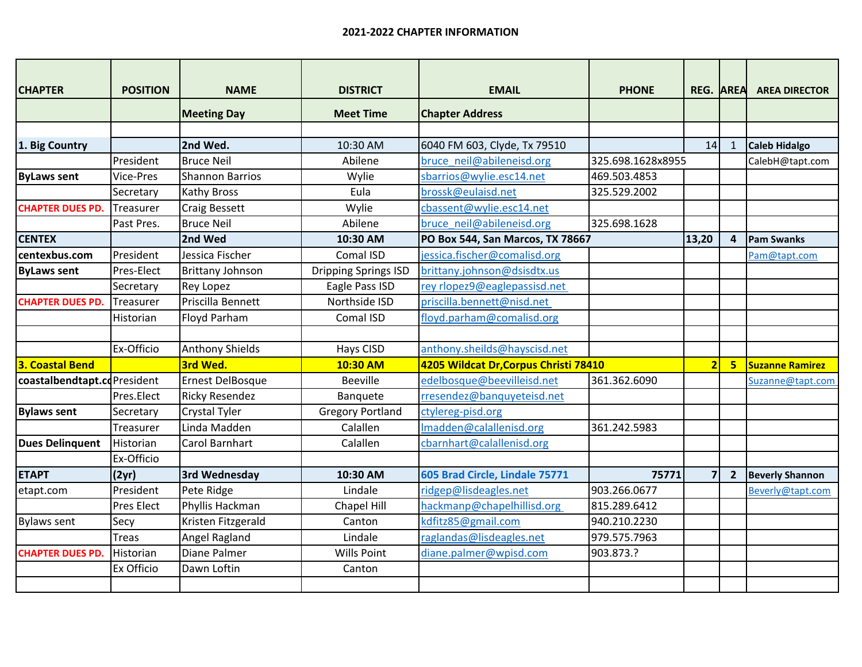| <b>CHAPTER</b>              | <b>POSITION</b>   | <b>NAME</b>             | <b>DISTRICT</b>             | <b>EMAIL</b>                          | <b>PHONE</b>      | <b>REG. AREA</b>        |                | <b>AREA DIRECTOR</b>   |
|-----------------------------|-------------------|-------------------------|-----------------------------|---------------------------------------|-------------------|-------------------------|----------------|------------------------|
|                             |                   |                         |                             |                                       |                   |                         |                |                        |
|                             |                   | <b>Meeting Day</b>      | <b>Meet Time</b>            | <b>Chapter Address</b>                |                   |                         |                |                        |
|                             |                   |                         |                             |                                       |                   |                         |                |                        |
| 1. Big Country              |                   | 2nd Wed.                | 10:30 AM                    | 6040 FM 603, Clyde, Tx 79510          |                   | 14                      | $\mathbf{1}$   | <b>Caleb Hidalgo</b>   |
|                             | President         | <b>Bruce Neil</b>       | Abilene                     | bruce neil@abileneisd.org             | 325.698.1628x8955 |                         |                | CalebH@tapt.com        |
| <b>ByLaws sent</b>          | Vice-Pres         | <b>Shannon Barrios</b>  | Wylie                       | sbarrios@wylie.esc14.net              | 469.503.4853      |                         |                |                        |
|                             | Secretary         | <b>Kathy Bross</b>      | Eula                        | brossk@eulaisd.net                    | 325.529.2002      |                         |                |                        |
| <b>CHAPTER DUES PD.</b>     | Treasurer         | <b>Craig Bessett</b>    | Wylie                       | cbassent@wylie.esc14.net              |                   |                         |                |                        |
|                             | Past Pres.        | <b>Bruce Neil</b>       | Abilene                     | bruce neil@abileneisd.org             | 325.698.1628      |                         |                |                        |
| <b>CENTEX</b>               |                   | 2nd Wed                 | 10:30 AM                    | PO Box 544, San Marcos, TX 78667      |                   | 13,20                   | $\overline{a}$ | <b>Pam Swanks</b>      |
| centexbus.com               | President         | Jessica Fischer         | Comal ISD                   | jessica.fischer@comalisd.org          |                   |                         |                | Pam@tapt.com           |
| <b>ByLaws sent</b>          | Pres-Elect        | <b>Brittany Johnson</b> | <b>Dripping Springs ISD</b> | brittany.johnson@dsisdtx.us           |                   |                         |                |                        |
|                             | Secretary         | <b>Rey Lopez</b>        | Eagle Pass ISD              | rey rlopez9@eaglepassisd.net          |                   |                         |                |                        |
| <b>CHAPTER DUES PD.</b>     | Treasurer         | Priscilla Bennett       | Northside ISD               | priscilla.bennett@nisd.net            |                   |                         |                |                        |
|                             | Historian         | Floyd Parham            | Comal ISD                   | floyd.parham@comalisd.org             |                   |                         |                |                        |
|                             |                   |                         |                             |                                       |                   |                         |                |                        |
|                             | Ex-Officio        | <b>Anthony Shields</b>  | Hays CISD                   | anthony.sheilds@hayscisd.net          |                   |                         |                |                        |
| <b>3. Coastal Bend</b>      |                   | 3rd Wed.                | 10:30 AM                    | 4205 Wildcat Dr, Corpus Christi 78410 |                   | $\overline{\mathbf{2}}$ | 5              | <b>Suzanne Ramirez</b> |
| coastalbendtapt.cdPresident |                   | Ernest DelBosque        | <b>Beeville</b>             | edelbosque@beevilleisd.net            | 361.362.6090      |                         |                | Suzanne@tapt.com       |
|                             | Pres.Elect        | <b>Ricky Resendez</b>   | Banquete                    | rresendez@banquyeteisd.net            |                   |                         |                |                        |
| <b>Bylaws sent</b>          | Secretary         | <b>Crystal Tyler</b>    | <b>Gregory Portland</b>     | ctylereg-pisd.org                     |                   |                         |                |                        |
|                             | Treasurer         | Linda Madden            | Calallen                    | Imadden@calallenisd.org               | 361.242.5983      |                         |                |                        |
| <b>Dues Delinquent</b>      | Historian         | <b>Carol Barnhart</b>   | Calallen                    | cbarnhart@calallenisd.org             |                   |                         |                |                        |
|                             | Ex-Officio        |                         |                             |                                       |                   |                         |                |                        |
| <b>ETAPT</b>                | (2yr)             | 3rd Wednesday           | 10:30 AM                    | 605 Brad Circle, Lindale 75771        | 75771             | $\overline{7}$          | $\overline{2}$ | <b>Beverly Shannon</b> |
| etapt.com                   | President         | Pete Ridge              | Lindale                     | ridgep@lisdeagles.net                 | 903.266.0677      |                         |                | Beverly@tapt.com       |
|                             | <b>Pres Elect</b> | Phyllis Hackman         | Chapel Hill                 | hackmanp@chapelhillisd.org            | 815.289.6412      |                         |                |                        |
| <b>Bylaws sent</b>          | Secy              | Kristen Fitzgerald      | Canton                      | kdfitz85@gmail.com                    | 940.210.2230      |                         |                |                        |
|                             | <b>Treas</b>      | Angel Ragland           | Lindale                     | raglandas@lisdeagles.net              | 979.575.7963      |                         |                |                        |
| <b>CHAPTER DUES PD.</b>     | Historian         | Diane Palmer            | Wills Point                 | diane.palmer@wpisd.com                | 903.873.?         |                         |                |                        |
|                             | Ex Officio        | Dawn Loftin             | Canton                      |                                       |                   |                         |                |                        |
|                             |                   |                         |                             |                                       |                   |                         |                |                        |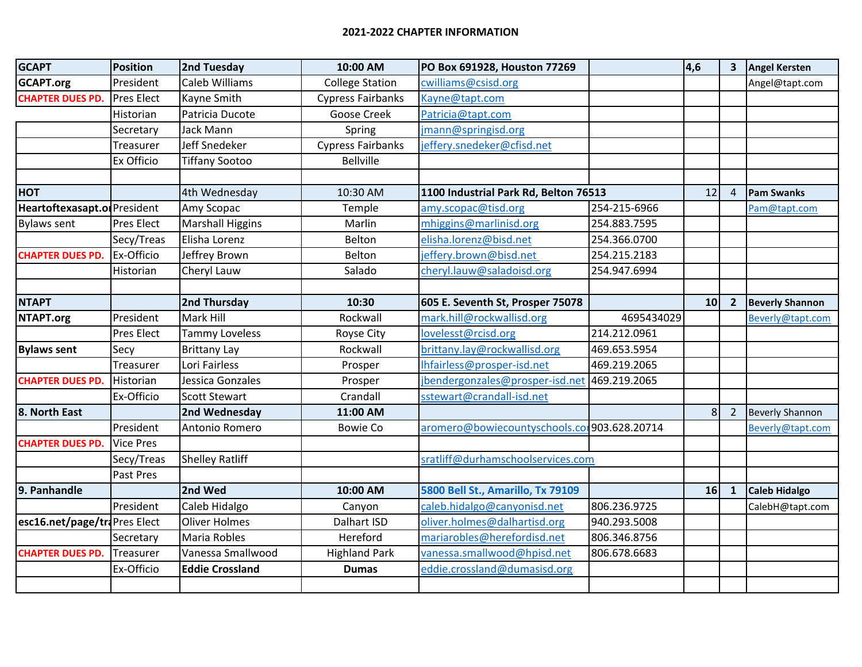| <b>GCAPT</b>                 | Position          | 2nd Tuesday             | 10:00 AM                 | PO Box 691928, Houston 77269                 |              | 4,6             | 3 <sup>1</sup> | <b>Angel Kersten</b>   |
|------------------------------|-------------------|-------------------------|--------------------------|----------------------------------------------|--------------|-----------------|----------------|------------------------|
| <b>GCAPT.org</b>             | President         | Caleb Williams          | <b>College Station</b>   | cwilliams@csisd.org                          |              |                 |                | Angel@tapt.com         |
| <b>CHAPTER DUES PD.</b>      | <b>Pres Elect</b> | Kayne Smith             | <b>Cypress Fairbanks</b> | Kayne@tapt.com                               |              |                 |                |                        |
|                              | Historian         | Patricia Ducote         | Goose Creek              | Patricia@tapt.com                            |              |                 |                |                        |
|                              | Secretary         | Jack Mann               | Spring                   | jmann@springisd.org                          |              |                 |                |                        |
|                              | Treasurer         | Jeff Snedeker           | <b>Cypress Fairbanks</b> | jeffery.snedeker@cfisd.net                   |              |                 |                |                        |
|                              | Ex Officio        | <b>Tiffany Sootoo</b>   | <b>Bellville</b>         |                                              |              |                 |                |                        |
|                              |                   |                         |                          |                                              |              |                 |                |                        |
| <b>HOT</b>                   |                   | 4th Wednesday           | 10:30 AM                 | 1100 Industrial Park Rd, Belton 76513        |              |                 | $\overline{4}$ | <b>Pam Swanks</b>      |
| Heartoftexasapt.of President |                   | Amy Scopac              | Temple                   | amy.scopac@tisd.org                          | 254-215-6966 |                 |                | Pam@tapt.com           |
| Bylaws sent                  | <b>Pres Elect</b> | <b>Marshall Higgins</b> | Marlin                   | mhiggins@marlinisd.org                       | 254.883.7595 |                 |                |                        |
|                              | Secy/Treas        | Elisha Lorenz           | Belton                   | elisha.lorenz@bisd.net                       | 254.366.0700 |                 |                |                        |
| <b>CHAPTER DUES PD.</b>      | Ex-Officio        | Jeffrey Brown           | Belton                   | jeffery.brown@bisd.net                       | 254.215.2183 |                 |                |                        |
|                              | Historian         | Cheryl Lauw             | Salado                   | cheryl.lauw@saladoisd.org                    | 254.947.6994 |                 |                |                        |
|                              |                   |                         |                          |                                              |              |                 |                |                        |
| <b>NTAPT</b>                 |                   | 2nd Thursday            | 10:30                    | 605 E. Seventh St, Prosper 75078             |              | 10 <sup>1</sup> | $\overline{2}$ | <b>Beverly Shannon</b> |
| NTAPT.org                    | President         | Mark Hill               | Rockwall                 | mark.hill@rockwallisd.org                    | 4695434029   |                 |                | Beverly@tapt.com       |
|                              | <b>Pres Elect</b> | <b>Tammy Loveless</b>   | Royse City               | lovelesst@rcisd.org                          | 214.212.0961 |                 |                |                        |
| <b>Bylaws sent</b>           | Secy              | <b>Brittany Lay</b>     | Rockwall                 | brittany.lay@rockwallisd.org                 | 469.653.5954 |                 |                |                        |
|                              | Treasurer         | Lori Fairless           | Prosper                  | Ihfairless@prosper-isd.net                   | 469.219.2065 |                 |                |                        |
| <b>CHAPTER DUES PD.</b>      | Historian         | Jessica Gonzales        | Prosper                  | jbendergonzales@prosper-isd.net 469.219.2065 |              |                 |                |                        |
|                              | Ex-Officio        | <b>Scott Stewart</b>    | Crandall                 | sstewart@crandall-isd.net                    |              |                 |                |                        |
| 8. North East                |                   | 2nd Wednesday           | 11:00 AM                 |                                              |              | 8 <sup>1</sup>  | $\overline{2}$ | <b>Beverly Shannon</b> |
|                              | President         | Antonio Romero          | <b>Bowie Co</b>          | aromero@bowiecountyschools.cor903.628.20714  |              |                 |                | Beverly@tapt.com       |
| <b>CHAPTER DUES PD.</b>      | <b>Vice Pres</b>  |                         |                          |                                              |              |                 |                |                        |
|                              | Secy/Treas        | Shelley Ratliff         |                          | sratliff@durhamschoolservices.com            |              |                 |                |                        |
|                              | Past Pres         |                         |                          |                                              |              |                 |                |                        |
| 9. Panhandle                 |                   | 2nd Wed                 | 10:00 AM                 | 5800 Bell St., Amarillo, Tx 79109            |              | 16              | $\mathbf{1}$   | <b>Caleb Hidalgo</b>   |
|                              | President         | Caleb Hidalgo           | Canyon                   | caleb.hidalgo@canyonisd.net                  | 806.236.9725 |                 |                | CalebH@tapt.com        |
| esc16.net/page/traPres Elect |                   | <b>Oliver Holmes</b>    | Dalhart ISD              | oliver.holmes@dalhartisd.org                 | 940.293.5008 |                 |                |                        |
|                              | Secretary         | Maria Robles            | Hereford                 | mariarobles@herefordisd.net                  | 806.346.8756 |                 |                |                        |
| <b>CHAPTER DUES PD.</b>      | Treasurer         | Vanessa Smallwood       | <b>Highland Park</b>     | vanessa.smallwood@hpisd.net                  | 806.678.6683 |                 |                |                        |
|                              | Ex-Officio        | <b>Eddie Crossland</b>  | <b>Dumas</b>             | eddie.crossland@dumasisd.org                 |              |                 |                |                        |
|                              |                   |                         |                          |                                              |              |                 |                |                        |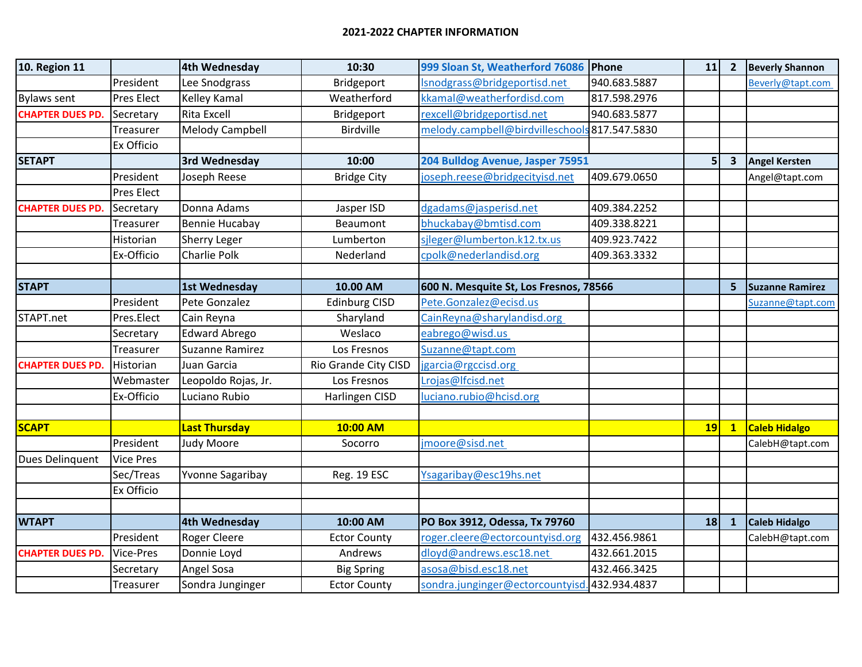| <b>10. Region 11</b>    |                   | 4th Wednesday          | 10:30                | 999 Sloan St, Weatherford 76086 Phone         |              | 11             | $\overline{2}$ | <b>Beverly Shannon</b> |
|-------------------------|-------------------|------------------------|----------------------|-----------------------------------------------|--------------|----------------|----------------|------------------------|
|                         | President         | Lee Snodgrass          | Bridgeport           | Isnodgrass@bridgeportisd.net                  | 940.683.5887 |                |                | Beverly@tapt.com       |
| <b>Bylaws sent</b>      | <b>Pres Elect</b> | Kelley Kamal           | Weatherford          | kkamal@weatherfordisd.com                     | 817.598.2976 |                |                |                        |
| <b>CHAPTER DUES PD.</b> | Secretary         | <b>Rita Excell</b>     | Bridgeport           | rexcell@bridgeportisd.net                     | 940.683.5877 |                |                |                        |
|                         | Treasurer         | <b>Melody Campbell</b> | <b>Birdville</b>     | melody.campbell@birdvilleschools 817.547.5830 |              |                |                |                        |
|                         | Ex Officio        |                        |                      |                                               |              |                |                |                        |
| <b>SETAPT</b>           |                   | 3rd Wednesday          | 10:00                | 204 Bulldog Avenue, Jasper 75951              |              | 5 <sup>1</sup> | $\mathbf{3}$   | <b>Angel Kersten</b>   |
|                         | President         | Joseph Reese           | <b>Bridge City</b>   | joseph.reese@bridgecityisd.net                | 409.679.0650 |                |                | Angel@tapt.com         |
|                         | <b>Pres Elect</b> |                        |                      |                                               |              |                |                |                        |
| <b>CHAPTER DUES PD.</b> | Secretary         | Donna Adams            | Jasper ISD           | dgadams@jasperisd.net                         | 409.384.2252 |                |                |                        |
|                         | Treasurer         | Bennie Hucabay         | Beaumont             | bhuckabay@bmtisd.com                          | 409.338.8221 |                |                |                        |
|                         | Historian         | Sherry Leger           | Lumberton            | sileger@lumberton.k12.tx.us                   | 409.923.7422 |                |                |                        |
|                         | Ex-Officio        | Charlie Polk           | Nederland            | cpolk@nederlandisd.org                        | 409.363.3332 |                |                |                        |
|                         |                   |                        |                      |                                               |              |                |                |                        |
| <b>STAPT</b>            |                   | 1st Wednesday          | 10.00 AM             | 600 N. Mesquite St, Los Fresnos, 78566        |              |                | 5              | <b>Suzanne Ramirez</b> |
|                         | President         | Pete Gonzalez          | <b>Edinburg CISD</b> | Pete.Gonzalez@ecisd.us                        |              |                |                | Suzanne@tapt.com       |
| STAPT.net               | Pres.Elect        | Cain Reyna             | Sharyland            | CainReyna@sharylandisd.org                    |              |                |                |                        |
|                         | Secretary         | <b>Edward Abrego</b>   | Weslaco              | eabrego@wisd.us                               |              |                |                |                        |
|                         | Treasurer         | Suzanne Ramirez        | Los Fresnos          | Suzanne@tapt.com                              |              |                |                |                        |
| <b>CHAPTER DUES PD.</b> | Historian         | Juan Garcia            | Rio Grande City CISD | jgarcia@rgccisd.org                           |              |                |                |                        |
|                         | Webmaster         | Leopoldo Rojas, Jr.    | Los Fresnos          | Lrojas@lfcisd.net                             |              |                |                |                        |
|                         | Ex-Officio        | Luciano Rubio          | Harlingen CISD       | luciano.rubio@hcisd.org                       |              |                |                |                        |
|                         |                   |                        |                      |                                               |              |                |                |                        |
| <b>SCAPT</b>            |                   | <b>Last Thursday</b>   | 10:00 AM             |                                               |              | <b>19</b>      | $\mathbf{1}$   | Caleb Hidalgo          |
|                         | President         | Judy Moore             | Socorro              | jmoore@sisd.net                               |              |                |                | CalebH@tapt.com        |
| Dues Delinquent         | <b>Vice Pres</b>  |                        |                      |                                               |              |                |                |                        |
|                         | Sec/Treas         | Yvonne Sagaribay       | Reg. 19 ESC          | Ysagaribay@esc19hs.net                        |              |                |                |                        |
|                         | Ex Officio        |                        |                      |                                               |              |                |                |                        |
|                         |                   |                        |                      |                                               |              |                |                |                        |
| <b>WTAPT</b>            |                   | 4th Wednesday          | 10:00 AM             | PO Box 3912, Odessa, Tx 79760                 |              | 18             | $\mathbf{1}$   | <b>Caleb Hidalgo</b>   |
|                         | President         | Roger Cleere           | <b>Ector County</b>  | roger.cleere@ectorcountyisd.org               | 432.456.9861 |                |                | CalebH@tapt.com        |
| <b>CHAPTER DUES PD.</b> | <b>Vice-Pres</b>  | Donnie Loyd            | Andrews              | dloyd@andrews.esc18.net                       | 432.661.2015 |                |                |                        |
|                         | Secretary         | Angel Sosa             | <b>Big Spring</b>    | asosa@bisd.esc18.net                          | 432.466.3425 |                |                |                        |
|                         | Treasurer         | Sondra Junginger       | <b>Ector County</b>  | sondra.junginger@ectorcountyisd.432.934.4837  |              |                |                |                        |